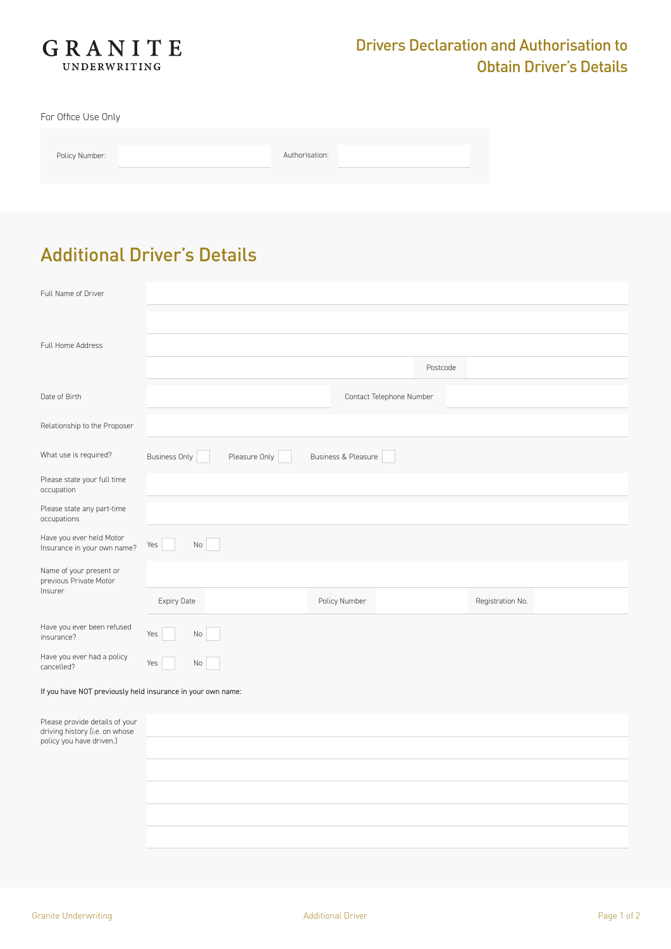

For Office Use Only

| Policy Number: |  |
|----------------|--|

Authorisation:

## Additional Driver's Details

| Full Name of Driver                                                                          |                                                              |                          |                  |
|----------------------------------------------------------------------------------------------|--------------------------------------------------------------|--------------------------|------------------|
| Full Home Address                                                                            |                                                              | Postcode                 |                  |
| Date of Birth                                                                                |                                                              | Contact Telephone Number |                  |
| Relationship to the Proposer                                                                 |                                                              |                          |                  |
| What use is required?                                                                        | Pleasure Only<br>Business & Pleasure<br><b>Business Only</b> |                          |                  |
| Please state your full time<br>occupation                                                    |                                                              |                          |                  |
| Please state any part-time<br>occupations                                                    |                                                              |                          |                  |
| Have you ever held Motor<br>Insurance in your own name?                                      | $\rm No$<br>Yes                                              |                          |                  |
| Name of your present or<br>previous Private Motor                                            |                                                              |                          |                  |
| Insurer                                                                                      | Expiry Date<br>Policy Number                                 |                          | Registration No. |
| Have you ever been refused<br>insurance?                                                     | Yes<br>No                                                    |                          |                  |
| Have you ever had a policy<br>cancelled?                                                     | Yes<br>No                                                    |                          |                  |
| If you have NOT previously held insurance in your own name:                                  |                                                              |                          |                  |
| Please provide details of your<br>driving history (i.e. on whose<br>policy you have driven.) |                                                              |                          |                  |
|                                                                                              |                                                              |                          |                  |
|                                                                                              |                                                              |                          |                  |
|                                                                                              |                                                              |                          |                  |